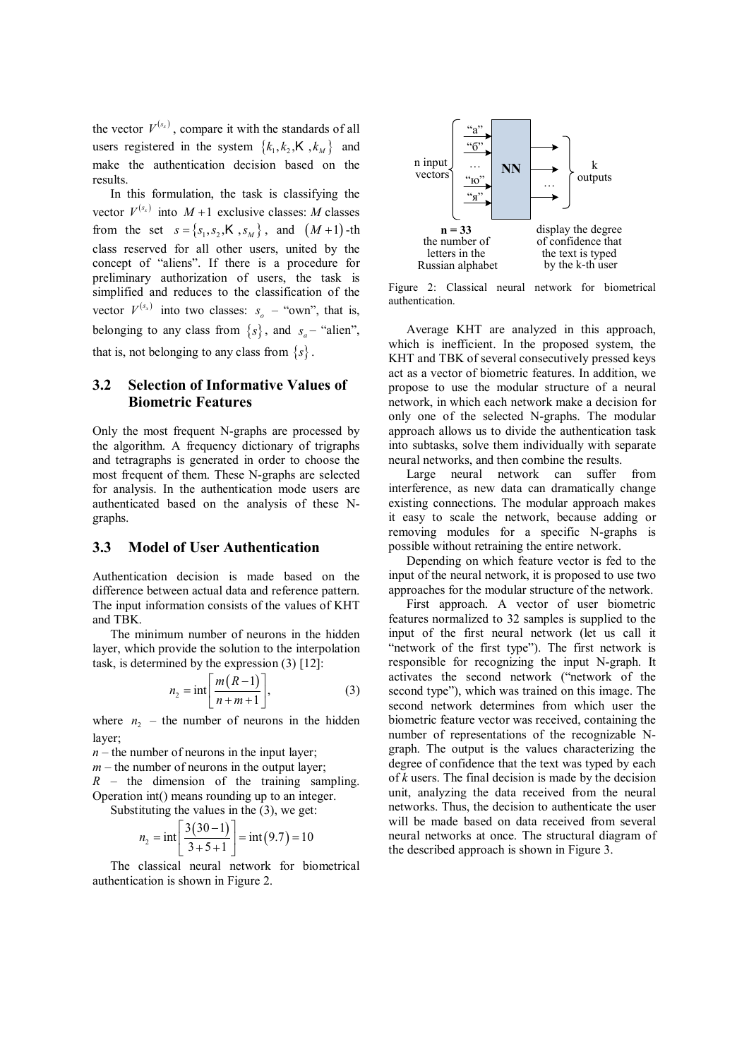the vector  $V^{(s_x)}$ , compare it with the standards of all users registered in the system  $\{k_1, k_2, K, k_M\}$  and make the authentication decision based on the results.

In this formulation, the task is classifying the vector  $V^{(s_x)}$  into  $M+1$  exclusive classes: M classes from the set  $s = \{s_1, s_2, \dots, s_M\}$ , and  $(M+1)$ -th class reserved for all other users, united by the concept of "aliens". If there is a procedure for preliminary authorization of users, the task is simplified and reduces to the classification of the vector  $V^{(s_x)}$  into two classes:  $s_a$  – "own", that is, belonging to any class from  $\{s\}$ , and  $s_n$  – "alien", that is, not belonging to any class from  $\{s\}$ .

#### **3.2 Selection of Informative Values of Biometric Features**

Only the most frequent N-graphs are processed by the algorithm. A frequency dictionary of trigraphs and tetragraphs is generated in order to choose the most frequent of them. These N-graphs are selected for analysis. In the authentication mode users are authenticated based on the analysis of these Ngraphs.

## **3.3 Model of User Authentication**

Authentication decision is made based on the difference between actual data and reference pattern. The input information consists of the values of KHT and TBK.

The minimum number of neurons in the hidden layer, which provide the solution to the interpolation task, is determined by the expression (3) [12]:

$$
n_2 = \text{int}\left[\frac{m(R-1)}{n+m+1}\right],\tag{3}
$$

where  $n_2$  – the number of neurons in the hidden layer;

 $n -$  the number of neurons in the input layer;  $m$  – the number of neurons in the output layer; *R* – the dimension of the training sampling. Operation int() means rounding up to an integer.

Substituting the values in the (3), we get:

$$
n_2 = \text{int}\left[\frac{3(30-1)}{3+5+1}\right] = \text{int}(9.7) = 10
$$

The classical neural network for biometrical authentication is shown in Figure 2.



Figure 2: Classical neural network for biometrical authentication.

Average KHT are analyzed in this approach, which is inefficient. In the proposed system, the KHT and TBK of several consecutively pressed keys act as a vector of biometric features. In addition, we propose to use the modular structure of a neural network, in which each network make a decision for only one of the selected N-graphs. The modular approach allows us to divide the authentication task into subtasks, solve them individually with separate neural networks, and then combine the results.

Large neural network can suffer from interference, as new data can dramatically change existing connections. The modular approach makes it easy to scale the network, because adding or removing modules for a specific N-graphs is possible without retraining the entire network.

Depending on which feature vector is fed to the input of the neural network, it is proposed to use two approaches for the modular structure of the network.

First approach. A vector of user biometric features normalized to 32 samples is supplied to the input of the first neural network (let us call it "network of the first type"). The first network is responsible for recognizing the input N-graph. It activates the second network ("network of the second type"), which was trained on this image. The second network determines from which user the biometric feature vector was received, containing the number of representations of the recognizable Ngraph. The output is the values characterizing the degree of confidence that the text was typed by each of *k* users. The final decision is made by the decision unit, analyzing the data received from the neural networks. Thus, the decision to authenticate the user will be made based on data received from several neural networks at once. The structural diagram of the described approach is shown in Figure 3.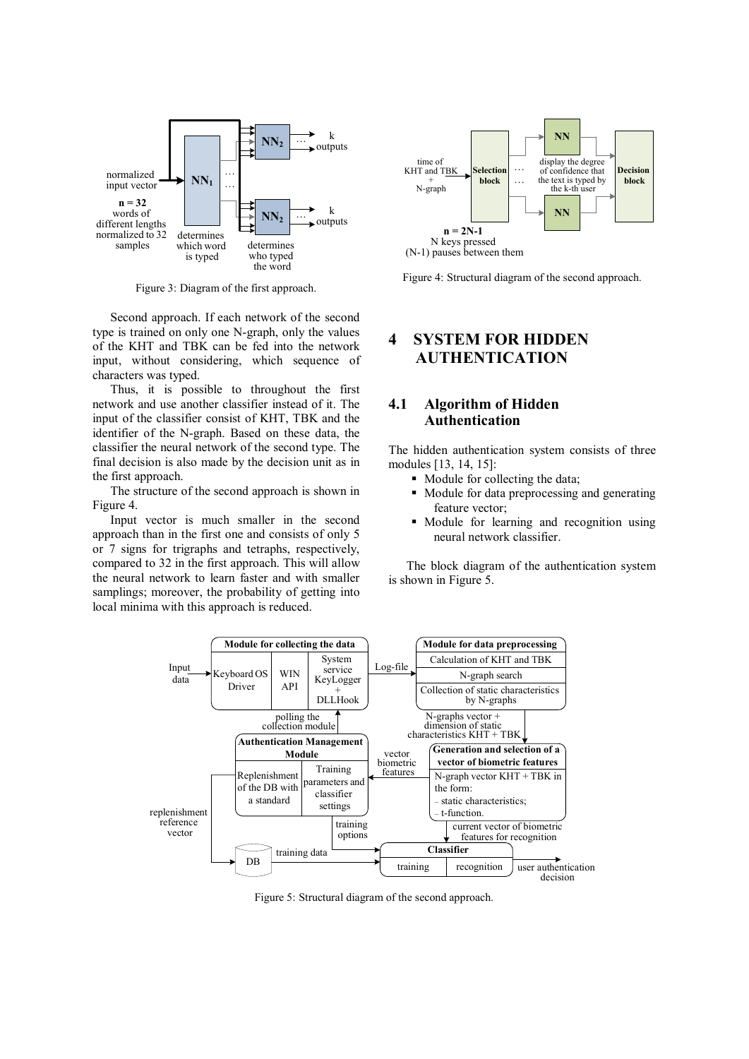

Figure 3: Diagram of the first approach.

Second approach. If each network of the second type is trained on only one N-graph, only the values of the KHT and TBK can be fed into the network input, without considering, which sequence of characters was typed.

Thus, it is possible to throughout the first network and use another classifier instead of it. The input of the classifier consist of KHT, TBK and the identifier of the N-graph. Based on these data, the classifier the neural network of the second type. The final decision is also made by the decision unit as in the first approach.

The structure of the second approach is shown in Figure 4.

Input vector is much smaller in the second approach than in the first one and consists of only 5 or 7 signs for trigraphs and tetraphs, respectively, compared to 32 in the first approach. This will allow the neural network to learn faster and with smaller samplings; moreover, the probability of getting into local minima with this approach is reduced.



Figure 4: Structural diagram of the second approach.

# **4 SYSTEM FOR HIDDEN AUTHENTICATION**

## **4.1 Algorithm of Hidden Authentication**

The hidden authentication system consists of three modules [13, 14, 15]:

- Module for collecting the data;
- Module for data preprocessing and generating feature vector;
- Module for learning and recognition using neural network classifier.

The block diagram of the authentication system is shown in Figure 5.



Figure 5: Structural diagram of the second approach.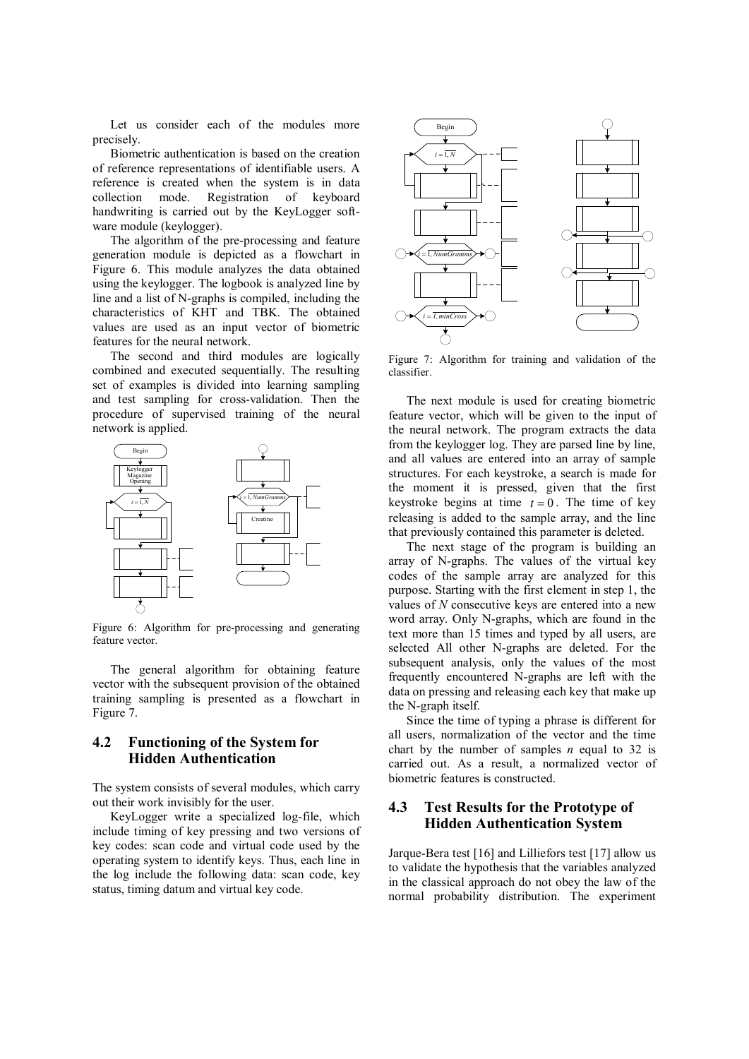Let us consider each of the modules more precisely.

Biometric authentication is based on the creation of reference representations of identifiable users. A reference is created when the system is in data collection mode. Registration of keyboard handwriting is carried out by the KeyLogger software module (keylogger).

The algorithm of the pre-processing and feature generation module is depicted as a flowchart in Figure 6. This module analyzes the data obtained using the keylogger. The logbook is analyzed line by line and a list of N-graphs is compiled, including the characteristics of KHT and TBK. The obtained values are used as an input vector of biometric features for the neural network.

The second and third modules are logically combined and executed sequentially. The resulting set of examples is divided into learning sampling and test sampling for cross-validation. Then the procedure of supervised training of the neural network is applied.



Figure 6: Algorithm for pre-processing and generating feature vector.

The general algorithm for obtaining feature vector with the subsequent provision of the obtained training sampling is presented as a flowchart in Figure 7.

#### **4.2 Functioning of the System for Hidden Authentication**

The system consists of several modules, which carry out their work invisibly for the user.

KeyLogger write a specialized log-file, which include timing of key pressing and two versions of key codes: scan code and virtual code used by the operating system to identify keys. Thus, each line in the log include the following data: scan code, key status, timing datum and virtual key code.



Figure 7: Algorithm for training and validation of the classifier.

The next module is used for creating biometric feature vector, which will be given to the input of the neural network. The program extracts the data from the keylogger log. They are parsed line by line, and all values are entered into an array of sample structures. For each keystroke, a search is made for the moment it is pressed, given that the first keystroke begins at time  $t = 0$ . The time of key releasing is added to the sample array, and the line that previously contained this parameter is deleted.

The next stage of the program is building an array of N-graphs. The values of the virtual key codes of the sample array are analyzed for this purpose. Starting with the first element in step 1, the values of *N* consecutive keys are entered into a new word array. Only N-graphs, which are found in the text more than 15 times and typed by all users, are selected All other N-graphs are deleted. For the subsequent analysis, only the values of the most frequently encountered N-graphs are left with the data on pressing and releasing each key that make up the N-graph itself.

Since the time of typing a phrase is different for all users, normalization of the vector and the time chart by the number of samples *n* equal to 32 is carried out. As a result, a normalized vector of biometric features is constructed.

#### **4.3 Test Results for the Prototype of Hidden Authentication System**

Jarque-Bera test [16] and Lilliefors test [17] allow us to validate the hypothesis that the variables analyzed in the classical approach do not obey the law of the normal probability distribution. The experiment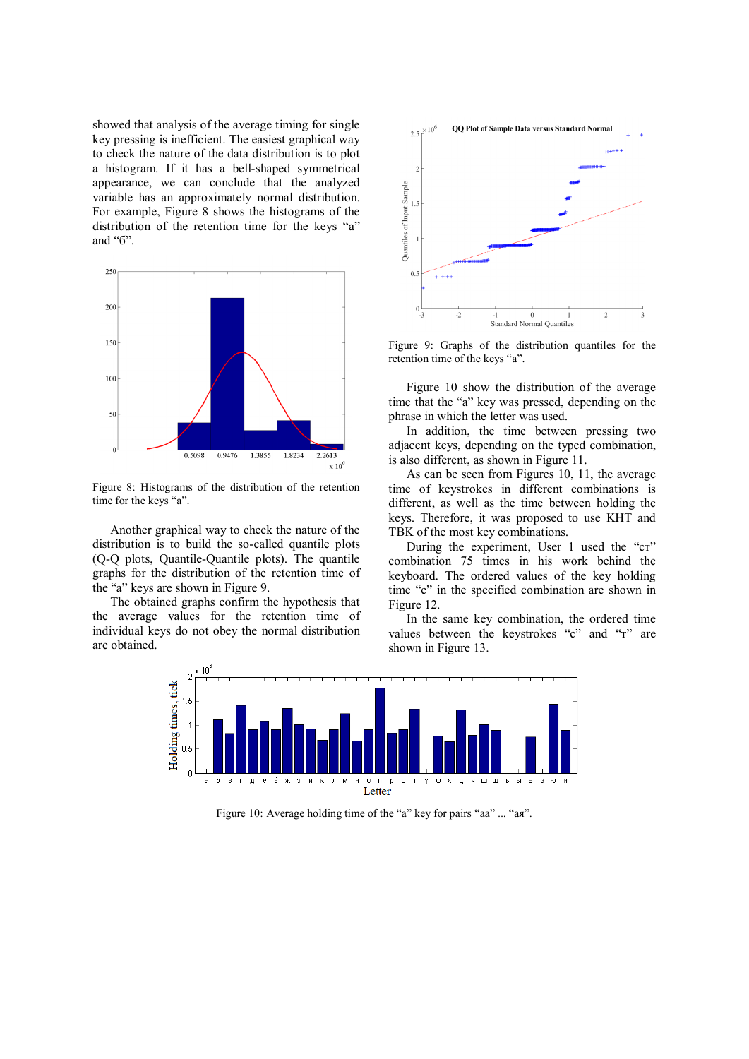showed that analysis of the average timing for single key pressing is inefficient. The easiest graphical way to check the nature of the data distribution is to plot a histogram. If it has a bell-shaped symmetrical appearance, we can conclude that the analyzed variable has an approximately normal distribution. For example, Figure 8 shows the histograms of the distribution of the retention time for the keys "а" and "б".



Figure 8: Histograms of the distribution of the retention time for the keys "a".

Another graphical way to check the nature of the distribution is to build the so-called quantile plots (Q-Q plots, Quantile-Quantile plots). The quantile graphs for the distribution of the retention time of the "a" keys are shown in Figure 9.

The obtained graphs confirm the hypothesis that the average values for the retention time of individual keys do not obey the normal distribution are obtained.



Figure 9: Graphs of the distribution quantiles for the retention time of the keys "a".

Figure 10 show the distribution of the average time that the "a" key was pressed, depending on the phrase in which the letter was used.

In addition, the time between pressing two adjacent keys, depending on the typed combination, is also different, as shown in Figure 11.

As can be seen from Figures 10, 11, the average time of keystrokes in different combinations is different, as well as the time between holding the keys. Therefore, it was proposed to use KHT and TBK of the most key combinations.

During the experiment, User 1 used the "cr" combination 75 times in his work behind the keyboard. The ordered values of the key holding time "с" in the specified combination are shown in Figure 12.

In the same key combination, the ordered time values between the keystrokes "c" and "T" are shown in Figure 13.



Figure 10: Average holding time of the "a" key for pairs "аа" ... "ая".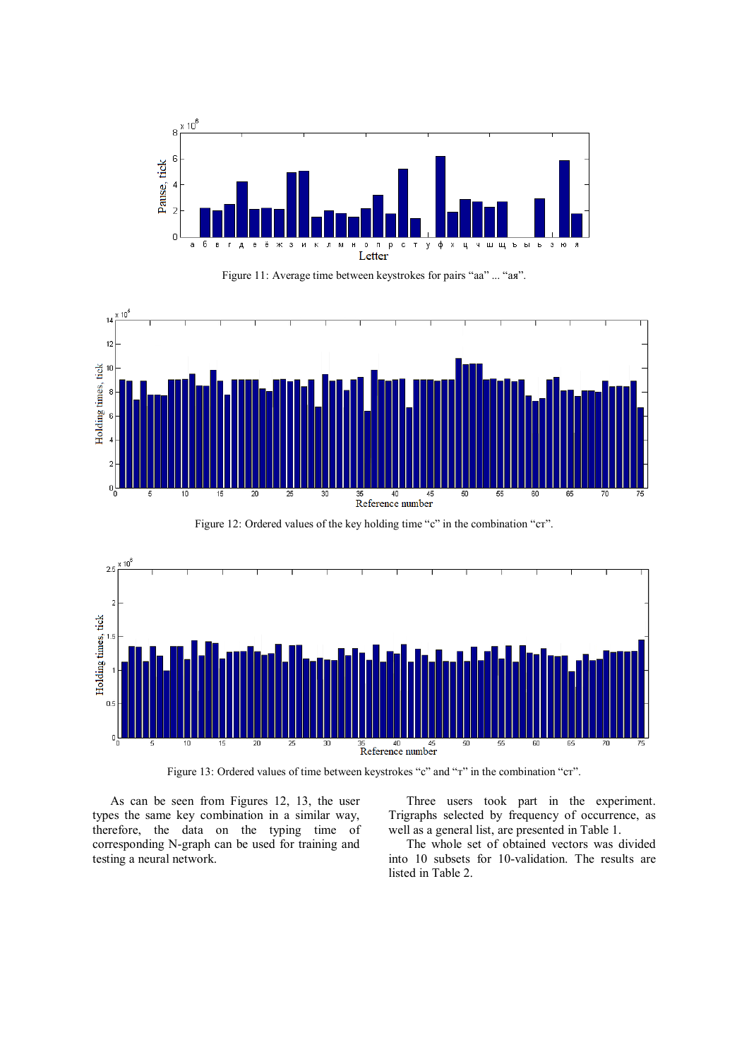

Figure 11: Average time between keystrokes for pairs "аа" ... "ая".



Figure 12: Ordered values of the key holding time "c" in the combination "cr".



Figure 13: Ordered values of time between keystrokes "с" and "т" in the combination "ст".

As can be seen from Figures 12, 13, the user types the same key combination in a similar way, therefore, the data on the typing time of corresponding N-graph can be used for training and testing a neural network.

Three users took part in the experiment. Trigraphs selected by frequency of occurrence, as well as a general list, are presented in Table 1.

The whole set of obtained vectors was divided into 10 subsets for 10-validation. The results are listed in Table 2.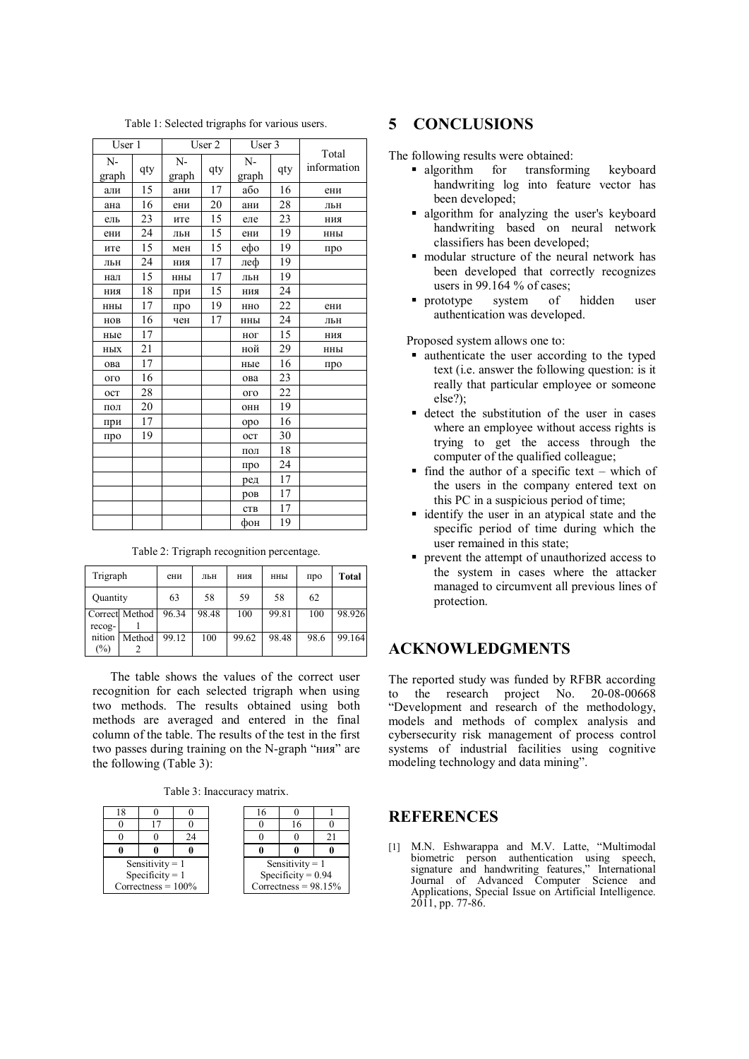| User 1 |     | User 2               |    | User 3 |     | Total       |  |
|--------|-----|----------------------|----|--------|-----|-------------|--|
| $N-$   | qty | $N-$<br>qty<br>graph |    | $N-$   | qty | information |  |
| graph  |     |                      |    | graph  |     |             |  |
| али    | 15  | ани                  | 17 | або    | 16  | ени         |  |
| ана    | 16  | ени                  | 20 | ани    | 28  | ЛЬН         |  |
| ель    | 23  | ите                  | 15 | еле    | 23  | НИЯ         |  |
| ени    | 24  | ЛЬН                  | 15 | ени    | 19  | нны         |  |
| ите    | 15  | мен                  | 15 | ефо    | 19  | про         |  |
| ЛЬН    | 24  | ния                  | 17 | леф    | 19  |             |  |
| нал    | 15  | ННЫ                  | 17 | ЛЬН    | 19  |             |  |
| ния    | 18  | при                  | 15 | ния    | 24  |             |  |
| ННЫ    | 17  | про                  | 19 | ННО    | 22  | ени         |  |
| HOB    | 16  | чен                  | 17 | ННЫ    | 24  | ЛЬН         |  |
| ные    | 17  |                      |    | ног    | 15  | ния         |  |
| НЫХ    | 21  |                      |    | ной    | 29  | нны         |  |
| ова    | 17  |                      |    | ные    | 16  | про         |  |
| ого    | 16  |                      |    | ова    | 23  |             |  |
| OCT    | 28  |                      |    | ого    | 22  |             |  |
| ПОЛ    | 20  |                      |    | OHH    | 19  |             |  |
| при    | 17  |                      |    | opo    | 16  |             |  |
| про    | 19  |                      |    | oct    | 30  |             |  |
|        |     |                      |    | пол    | 18  |             |  |
|        |     |                      |    | про    | 24  |             |  |
|        |     |                      |    | ред    | 17  |             |  |
|        |     |                      |    | poB    | 17  |             |  |
|        |     |                      |    | CTB    | 17  |             |  |
|        |     |                      |    | фон    | 19  |             |  |

Table 1: Selected trigraphs for various users.

Table 2: Trigraph recognition percentage.

| Trigraph         |                | ени   | льн   | ния   | ННЫ   | про  | <b>T</b> otal |
|------------------|----------------|-------|-------|-------|-------|------|---------------|
| Quantity         |                | 63    | 58    | 59    | 58    | 62   |               |
| recog-           | Correct Method | 96.34 | 98.48 | 100   | 99.81 | 100  | 98.926        |
| nition<br>$(\%)$ | Method         | 99.12 | 100   | 99.62 | 98.48 | 98.6 | 99.164        |

The table shows the values of the correct user recognition for each selected trigraph when using two methods. The results obtained using both methods are averaged and entered in the final column of the table. The results of the test in the first two passes during training on the N-graph "ния" are the following (Table 3):

Table 3: Inaccuracy matrix.

| 18                    |                   |    | 16                     |    |  |  |
|-----------------------|-------------------|----|------------------------|----|--|--|
|                       |                   |    |                        | 16 |  |  |
|                       |                   | 24 |                        |    |  |  |
|                       |                   |    |                        |    |  |  |
|                       | Sensitivity = $1$ |    | Sensitivity = $1$      |    |  |  |
| Specificity = $1$     |                   |    | Specificity = $0.94$   |    |  |  |
| Correctness = $100\%$ |                   |    | Correctness = $98.15%$ |    |  |  |
|                       |                   |    |                        |    |  |  |

# **5 CONCLUSIONS**

The following results were obtained:

- **algorithm** for transforming keyboard handwriting log into feature vector has been developed;
- algorithm for analyzing the user's keyboard handwriting based on neural network classifiers has been developed;
- modular structure of the neural network has been developed that correctly recognizes users in 99.164 % of cases;
- **prototype** system of hidden user authentication was developed.

Proposed system allows one to:

- authenticate the user according to the typed text (i.e. answer the following question: is it really that particular employee or someone else?);
- detect the substitution of the user in cases where an employee without access rights is trying to get the access through the computer of the qualified colleague;
- $\blacksquare$  find the author of a specific text which of the users in the company entered text on this PC in a suspicious period of time;
- identify the user in an atypical state and the specific period of time during which the user remained in this state;
- prevent the attempt of unauthorized access to the system in cases where the attacker managed to circumvent all previous lines of protection.

# **ACKNOWLEDGMENTS**

The reported study was funded by RFBR according to the research project No. 20-08-00668 "Development and research of the methodology, models and methods of complex analysis and cybersecurity risk management of process control systems of industrial facilities using cognitive modeling technology and data mining".

### **REFERENCES**

[1] M.N. Eshwarappa and M.V. Latte, "Multimodal biometric person authentication using speech, signature and handwriting features," International Journal of Advanced Computer Science and Applications, Special Issue on Artificial Intelligence.  $2011$ , pp. 77-86.